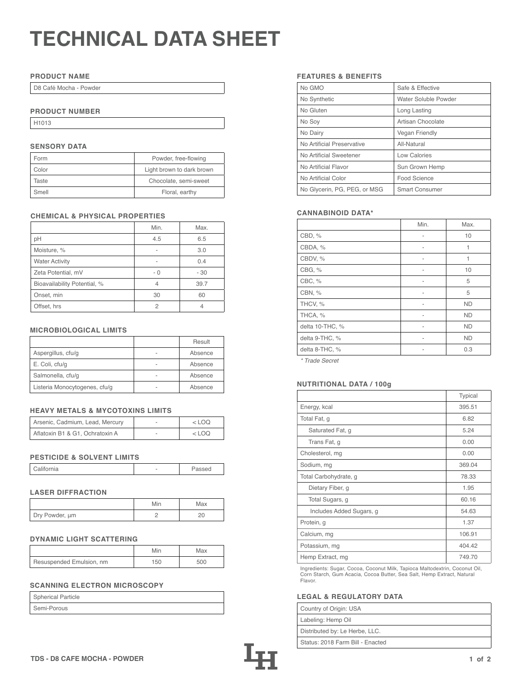# **TECHNICAL DATA SHEET**

## **PRODUCT NAME**

D8 Café Mocha - Powder

## **PRODUCT NUMBER**

H1013

# **SENSORY DATA**

| Form  | Powder, free-flowing      |  |
|-------|---------------------------|--|
| Color | Light brown to dark brown |  |
| Taste | Chocolate, semi-sweet     |  |
| Smell | Floral, earthy            |  |

## **CHEMICAL & PHYSICAL PROPERTIES**

|                              | Min. | Max. |
|------------------------------|------|------|
| pH                           | 4.5  | 6.5  |
| Moisture, %                  |      | 3.0  |
| <b>Water Activity</b>        |      | 0.4  |
| Zeta Potential, mV           | - 0  | - 30 |
| Bioavailability Potential, % | 4    | 39.7 |
| Onset, min                   | 30   | 60   |
| Offset, hrs                  | 2    |      |

## **MICROBIOLOGICAL LIMITS**

|                               | Result  |
|-------------------------------|---------|
| Aspergillus, cfu/g            | Absence |
| E. Coli, cfu/g                | Absence |
| Salmonella, cfu/g             | Absence |
| Listeria Monocytogenes, cfu/g | Absence |

# **HEAVY METALS & MYCOTOXINS LIMITS**

| Arsenic, Cadmium, Lead, Mercury | $<$ LOO |
|---------------------------------|---------|
| Aflatoxin B1 & G1, Ochratoxin A | <100    |

## **PESTICIDE & SOLVENT LIMITS**

| California |  | Passed |
|------------|--|--------|
|------------|--|--------|

# **LASER DIFFRACTION**

|                | Min | Max |
|----------------|-----|-----|
| Dry Powder, um |     |     |

## **DYNAMIC LIGHT SCATTERING**

|                          | <b>Min</b> | Max |
|--------------------------|------------|-----|
| Resuspended Emulsion, nm | 150        | 500 |

# **SCANNING ELECTRON MICROSCOPY**

| Spherical Particle |  |
|--------------------|--|
| Semi-Porous        |  |

## **FEATURES & BENEFITS**

| No GMO                       | Safe & Effective      |
|------------------------------|-----------------------|
| No Synthetic                 | Water Soluble Powder  |
| No Gluten                    | Long Lasting          |
| No Soy                       | Artisan Chocolate     |
| No Dairy                     | <b>Vegan Friendly</b> |
| No Artificial Preservative   | All-Natural           |
| No Artificial Sweetener      | Low Calories          |
| No Artificial Flavor         | Sun Grown Hemp        |
| No Artificial Color          | Food Science          |
| No Glycerin, PG, PEG, or MSG | <b>Smart Consumer</b> |

## **CANNABINOID DATA\***

|                 | Min. | Max.      |
|-----------------|------|-----------|
| CBD, %          |      | 10        |
| CBDA, %         |      | 1         |
| CBDV, %         |      | 1         |
| CBG, %          |      | 10        |
| CBC, %          |      | 5         |
| CBN, %          | ۰    | 5         |
| THCV, %         | ۰    | <b>ND</b> |
| THCA, %         |      | <b>ND</b> |
| delta 10-THC, % |      | <b>ND</b> |
| delta 9-THC, %  |      | <b>ND</b> |
| delta 8-THC, %  |      | 0.3       |
|                 |      |           |

*\* Trade Secret*

## Listeria Monocytogenes, cfu/g - Absence **NUTRITIONAL DATA / 100g**

|                          | Typical |
|--------------------------|---------|
| Energy, kcal             | 395.51  |
| Total Fat, g             | 6.82    |
| Saturated Fat, g         | 5.24    |
| Trans Fat, g             | 0.00    |
| Cholesterol, mg          | 0.00    |
| Sodium, mg               | 369.04  |
| Total Carbohydrate, g    | 78.33   |
| Dietary Fiber, g         | 1.95    |
| Total Sugars, g          | 60.16   |
| Includes Added Sugars, g | 54.63   |
| Protein, g               | 1.37    |
| Calcium, mg              | 106.91  |
| Potassium, mg            | 404.42  |
| Hemp Extract, mg         | 749.70  |

Ingredients: Sugar, Cocoa, Coconut Milk, Tapioca Maltodextrin, Coconut Oil, Corn Starch, Gum Acacia, Cocoa Butter, Sea Salt, Hemp Extract, Natural Flavor.

#### **LEGAL & REGULATORY DATA**

| Country of Origin: USA           |
|----------------------------------|
| Labeling: Hemp Oil               |
| Distributed by: Le Herbe, LLC.   |
| Status: 2018 Farm Bill - Enacted |
|                                  |